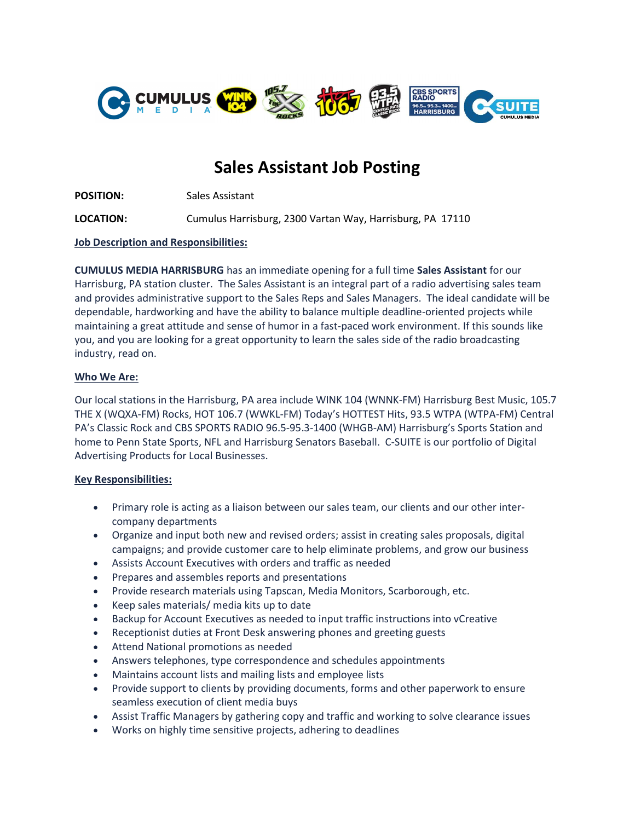

# Sales Assistant Job Posting

POSITION: Sales Assistant

LOCATION: Cumulus Harrisburg, 2300 Vartan Way, Harrisburg, PA 17110

Job Description and Responsibilities:

CUMULUS MEDIA HARRISBURG has an immediate opening for a full time Sales Assistant for our Harrisburg, PA station cluster. The Sales Assistant is an integral part of a radio advertising sales team and provides administrative support to the Sales Reps and Sales Managers. The ideal candidate will be dependable, hardworking and have the ability to balance multiple deadline-oriented projects while maintaining a great attitude and sense of humor in a fast-paced work environment. If this sounds like you, and you are looking for a great opportunity to learn the sales side of the radio broadcasting industry, read on.

# Who We Are:

Our local stations in the Harrisburg, PA area include WINK 104 (WNNK-FM) Harrisburg Best Music, 105.7 THE X (WQXA-FM) Rocks, HOT 106.7 (WWKL-FM) Today's HOTTEST Hits, 93.5 WTPA (WTPA-FM) Central PA's Classic Rock and CBS SPORTS RADIO 96.5-95.3-1400 (WHGB-AM) Harrisburg's Sports Station and home to Penn State Sports, NFL and Harrisburg Senators Baseball. C-SUITE is our portfolio of Digital Advertising Products for Local Businesses.

# Key Responsibilities:

- Primary role is acting as a liaison between our sales team, our clients and our other intercompany departments
- Organize and input both new and revised orders; assist in creating sales proposals, digital campaigns; and provide customer care to help eliminate problems, and grow our business
- Assists Account Executives with orders and traffic as needed
- Prepares and assembles reports and presentations
- Provide research materials using Tapscan, Media Monitors, Scarborough, etc.
- Keep sales materials/ media kits up to date
- Backup for Account Executives as needed to input traffic instructions into vCreative
- Receptionist duties at Front Desk answering phones and greeting guests
- Attend National promotions as needed
- Answers telephones, type correspondence and schedules appointments
- Maintains account lists and mailing lists and employee lists
- Provide support to clients by providing documents, forms and other paperwork to ensure seamless execution of client media buys
- Assist Traffic Managers by gathering copy and traffic and working to solve clearance issues
- Works on highly time sensitive projects, adhering to deadlines